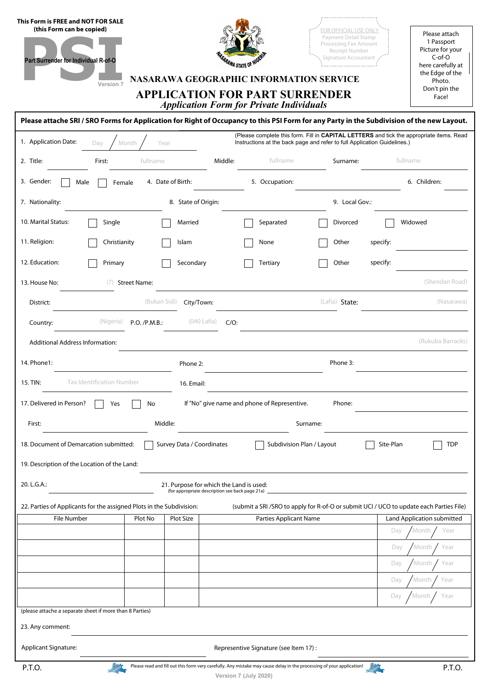| This Form is FREE and NOT FOR SALE<br>(this Form can be copied)<br>Part Surrender for Individual R-of-O                                    | Version 7                        |                           | <b><i>ARAWA STATE OF</i></b>                                                               | NASARAWA GEOGRAPHIC INFORMATION SERVICE<br><b>APPLICATION FOR PART SURRENDER</b><br><b>Application Form for Private Individuals</b> | FOR OFFICIAL USE ONLY<br>Payment Detail Stamp<br>Processing Fee Amount<br>Receipt Number<br>Signature Accountant                                                     |           | Please attach<br>1 Passport<br>Picture for your<br>$C$ -of-O<br>here carefully at<br>the Edge of the<br>Photo.<br>Don't pin the<br>Face! |
|--------------------------------------------------------------------------------------------------------------------------------------------|----------------------------------|---------------------------|--------------------------------------------------------------------------------------------|-------------------------------------------------------------------------------------------------------------------------------------|----------------------------------------------------------------------------------------------------------------------------------------------------------------------|-----------|------------------------------------------------------------------------------------------------------------------------------------------|
| Please attache SRI / SRO Forms for Application for Right of Occupancy to this PSI Form for any Party in the Subdivision of the new Layout. |                                  |                           |                                                                                            |                                                                                                                                     |                                                                                                                                                                      |           |                                                                                                                                          |
| 1. Application Date:                                                                                                                       | Month<br>Day                     | Year                      |                                                                                            |                                                                                                                                     | (Please complete this form. Fill in CAPITAL LETTERS and tick the appropriate items. Read<br>Instructions at the back page and refer to full Application Guidelines.) |           |                                                                                                                                          |
| 2. Title:                                                                                                                                  | First:                           | fullname                  | Middle:                                                                                    | fullname                                                                                                                            | Surname:                                                                                                                                                             | fullname  |                                                                                                                                          |
| 3. Gender:<br>Male                                                                                                                         | Female                           | 4. Date of Birth:         |                                                                                            | 5. Occupation:                                                                                                                      |                                                                                                                                                                      |           | 6. Children:                                                                                                                             |
| 7. Nationality:                                                                                                                            |                                  | 8. State of Origin:       |                                                                                            |                                                                                                                                     | 9. Local Gov.:                                                                                                                                                       |           |                                                                                                                                          |
| 10. Marital Status:                                                                                                                        | Single                           | Married                   |                                                                                            | Separated                                                                                                                           | Divorced                                                                                                                                                             |           | Widowed                                                                                                                                  |
| 11. Religion:                                                                                                                              | Christianity                     | Islam                     |                                                                                            | None                                                                                                                                | Other                                                                                                                                                                | specify:  |                                                                                                                                          |
| 12. Education:                                                                                                                             | Primary                          | Secondary                 |                                                                                            | Tertiary                                                                                                                            | Other                                                                                                                                                                | specify:  |                                                                                                                                          |
| 13. House No:                                                                                                                              | <b>Street Name:</b><br>(7)       |                           |                                                                                            |                                                                                                                                     |                                                                                                                                                                      |           | (Shendan Road)                                                                                                                           |
| District:                                                                                                                                  |                                  | (Bukan Sidi)              | City/Town:                                                                                 |                                                                                                                                     | (Lafia) State:                                                                                                                                                       |           | (Nasarawa)                                                                                                                               |
| Country:                                                                                                                                   | (Nigeria)<br>P.O. /P.M.B.:       |                           | (040 Lafia)<br>$C/O$ :                                                                     |                                                                                                                                     |                                                                                                                                                                      |           |                                                                                                                                          |
| <b>Additional Address Information:</b>                                                                                                     |                                  |                           |                                                                                            |                                                                                                                                     |                                                                                                                                                                      |           | (Rukuba Barracks)                                                                                                                        |
| 14. Phone1:                                                                                                                                |                                  | Phone 2:                  |                                                                                            |                                                                                                                                     | Phone 3:                                                                                                                                                             |           |                                                                                                                                          |
| 15. TIN:                                                                                                                                   | <b>Tax Identification Number</b> | 16. Email:                |                                                                                            |                                                                                                                                     |                                                                                                                                                                      |           |                                                                                                                                          |
| 17. Delivered in Person?                                                                                                                   | Yes                              | No                        |                                                                                            | If "No" give name and phone of Representive.                                                                                        | Phone:                                                                                                                                                               |           |                                                                                                                                          |
| First:                                                                                                                                     |                                  | Middle:                   |                                                                                            |                                                                                                                                     | Surname:                                                                                                                                                             |           |                                                                                                                                          |
| 18. Document of Demarcation submitted:<br>19. Description of the Location of the Land:                                                     |                                  | Survey Data / Coordinates |                                                                                            | Subdivision Plan / Layout                                                                                                           |                                                                                                                                                                      | Site-Plan | <b>TDP</b>                                                                                                                               |
| 20. L.G.A.:                                                                                                                                |                                  |                           | 21. Purpose for which the Land is used:<br>(for appropriate description see back page 21a) |                                                                                                                                     |                                                                                                                                                                      |           |                                                                                                                                          |
| 22. Parties of Applicants for the assigned Plots in the Subdivision:                                                                       |                                  |                           |                                                                                            |                                                                                                                                     | (submit a SRI/SRO to apply for R-of-O or submit UCI / UCO to update each Parties File)                                                                               |           |                                                                                                                                          |
| File Number                                                                                                                                | Plot No                          | Plot Size                 |                                                                                            | Parties Applicant Name                                                                                                              |                                                                                                                                                                      | Day       | Land Application submitted<br>Month<br>Year                                                                                              |
|                                                                                                                                            |                                  |                           |                                                                                            |                                                                                                                                     |                                                                                                                                                                      | Day       | Year<br>Month                                                                                                                            |
|                                                                                                                                            |                                  |                           |                                                                                            |                                                                                                                                     |                                                                                                                                                                      | Day       | Month<br>Year                                                                                                                            |
|                                                                                                                                            |                                  |                           |                                                                                            |                                                                                                                                     |                                                                                                                                                                      | Day       | Month<br>Year                                                                                                                            |
|                                                                                                                                            |                                  |                           |                                                                                            |                                                                                                                                     |                                                                                                                                                                      | Day       | Year<br>Month                                                                                                                            |
| (please attache a separate sheet if more than 8 Parties)<br>23. Any comment:                                                               |                                  |                           |                                                                                            |                                                                                                                                     |                                                                                                                                                                      |           |                                                                                                                                          |
| <b>Applicant Signature:</b>                                                                                                                |                                  |                           |                                                                                            | Representive Signature (see Item 17):                                                                                               |                                                                                                                                                                      |           |                                                                                                                                          |
| P.T.O.                                                                                                                                     |                                  |                           |                                                                                            | Please read and fill out this form very carefully. Any mistake may cause delay in the processing of your application!               |                                                                                                                                                                      |           | P.T.O.                                                                                                                                   |